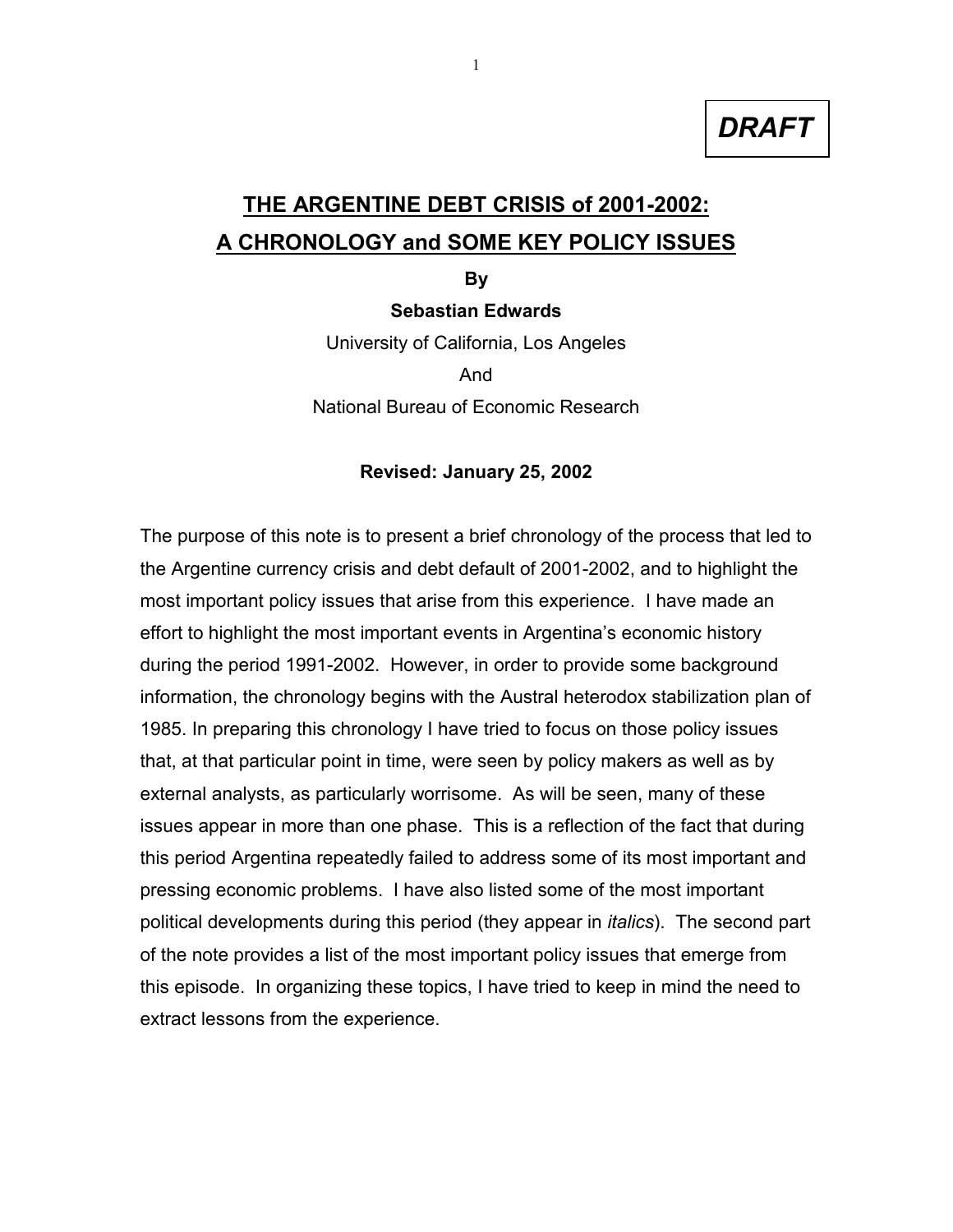*DRAFT*

# **THE ARGENTINE DEBT CRISIS of 2001-2002: A CHRONOLOGY and SOME KEY POLICY ISSUES**

**By**

#### **Sebastian Edwards**

University of California, Los Angeles And National Bureau of Economic Research

#### **Revised: January 25, 2002**

The purpose of this note is to present a brief chronology of the process that led to the Argentine currency crisis and debt default of 2001-2002, and to highlight the most important policy issues that arise from this experience. I have made an effort to highlight the most important events in Argentina's economic history during the period 1991-2002. However, in order to provide some background information, the chronology begins with the Austral heterodox stabilization plan of 1985. In preparing this chronology I have tried to focus on those policy issues that, at that particular point in time, were seen by policy makers as well as by external analysts, as particularly worrisome. As will be seen, many of these issues appear in more than one phase. This is a reflection of the fact that during this period Argentina repeatedly failed to address some of its most important and pressing economic problems. I have also listed some of the most important political developments during this period (they appear in *italics*). The second part of the note provides a list of the most important policy issues that emerge from this episode. In organizing these topics, I have tried to keep in mind the need to extract lessons from the experience.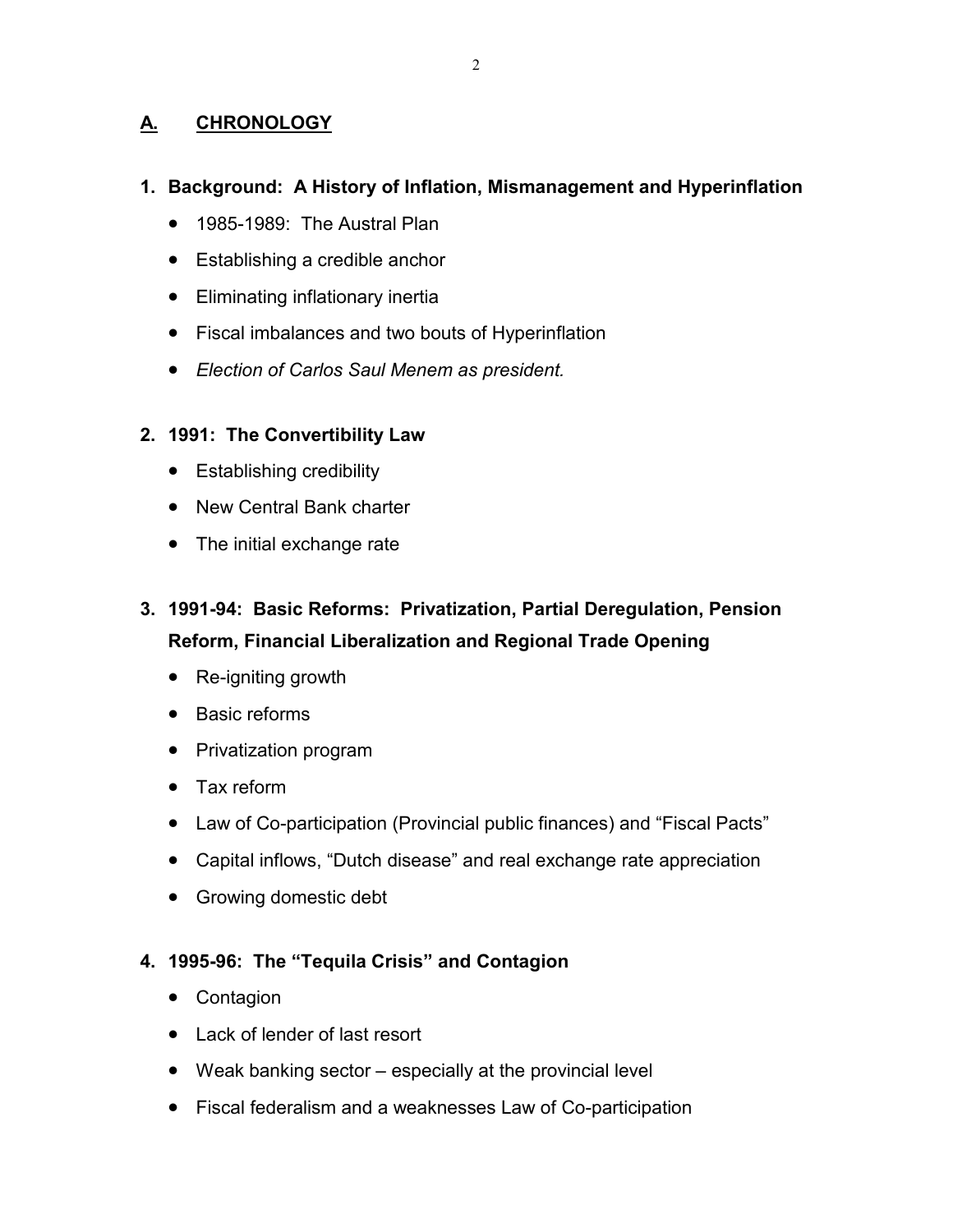# **A. CHRONOLOGY**

## **1. Background: A History of Inflation, Mismanagement and Hyperinflation**

- 1985-1989: The Austral Plan
- Establishing a credible anchor
- Eliminating inflationary inertia
- Fiscal imbalances and two bouts of Hyperinflation
- *Election of Carlos Saul Menem as president.*

## **2. 1991: The Convertibility Law**

- Establishing credibility
- New Central Bank charter
- The initial exchange rate
- **3. 1991-94: Basic Reforms: Privatization, Partial Deregulation, Pension Reform, Financial Liberalization and Regional Trade Opening**
	- Re-igniting growth
	- Basic reforms
	- Privatization program
	- Tax reform
	- Law of Co-participation (Provincial public finances) and "Fiscal Pacts"
	- Capital inflows, "Dutch disease" and real exchange rate appreciation
	- Growing domestic debt

## **4. 1995-96: The "Tequila Crisis" and Contagion**

- Contagion
- Lack of lender of last resort
- Weak banking sector especially at the provincial level
- Fiscal federalism and a weaknesses Law of Co-participation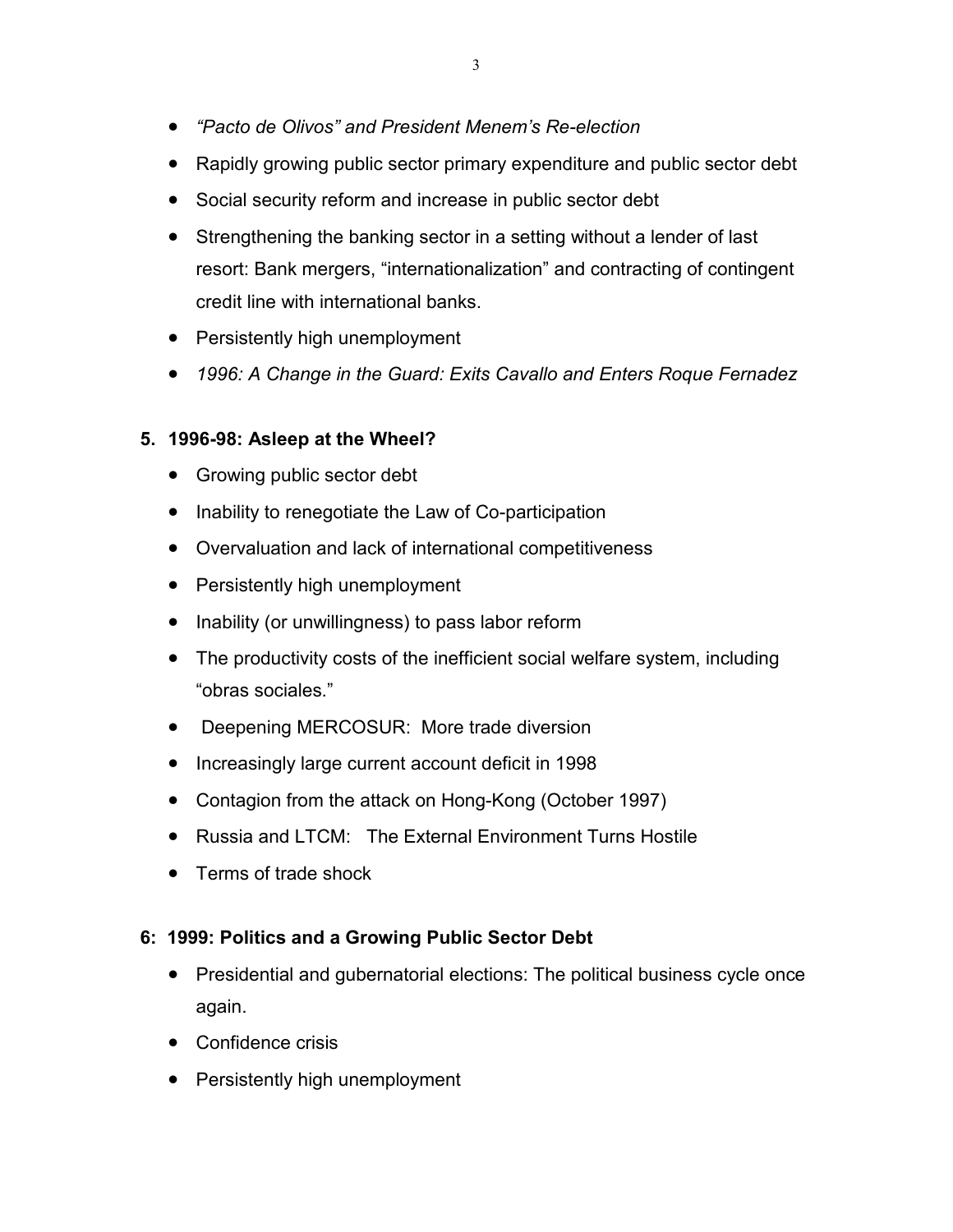- *"Pacto de Olivos" and President Menem's Re-election*
- Rapidly growing public sector primary expenditure and public sector debt
- Social security reform and increase in public sector debt
- Strengthening the banking sector in a setting without a lender of last resort: Bank mergers, "internationalization" and contracting of contingent credit line with international banks.
- Persistently high unemployment
- *1996: A Change in the Guard: Exits Cavallo and Enters Roque Fernadez*

## **5. 1996-98: Asleep at the Wheel?**

- Growing public sector debt
- Inability to renegotiate the Law of Co-participation
- Overvaluation and lack of international competitiveness
- Persistently high unemployment
- Inability (or unwillingness) to pass labor reform
- The productivity costs of the inefficient social welfare system, including "obras sociales."
- Deepening MERCOSUR: More trade diversion
- Increasingly large current account deficit in 1998
- Contagion from the attack on Hong-Kong (October 1997)
- Russia and LTCM: The External Environment Turns Hostile
- Terms of trade shock

## **6: 1999: Politics and a Growing Public Sector Debt**

- Presidential and gubernatorial elections: The political business cycle once again.
- Confidence crisis
- Persistently high unemployment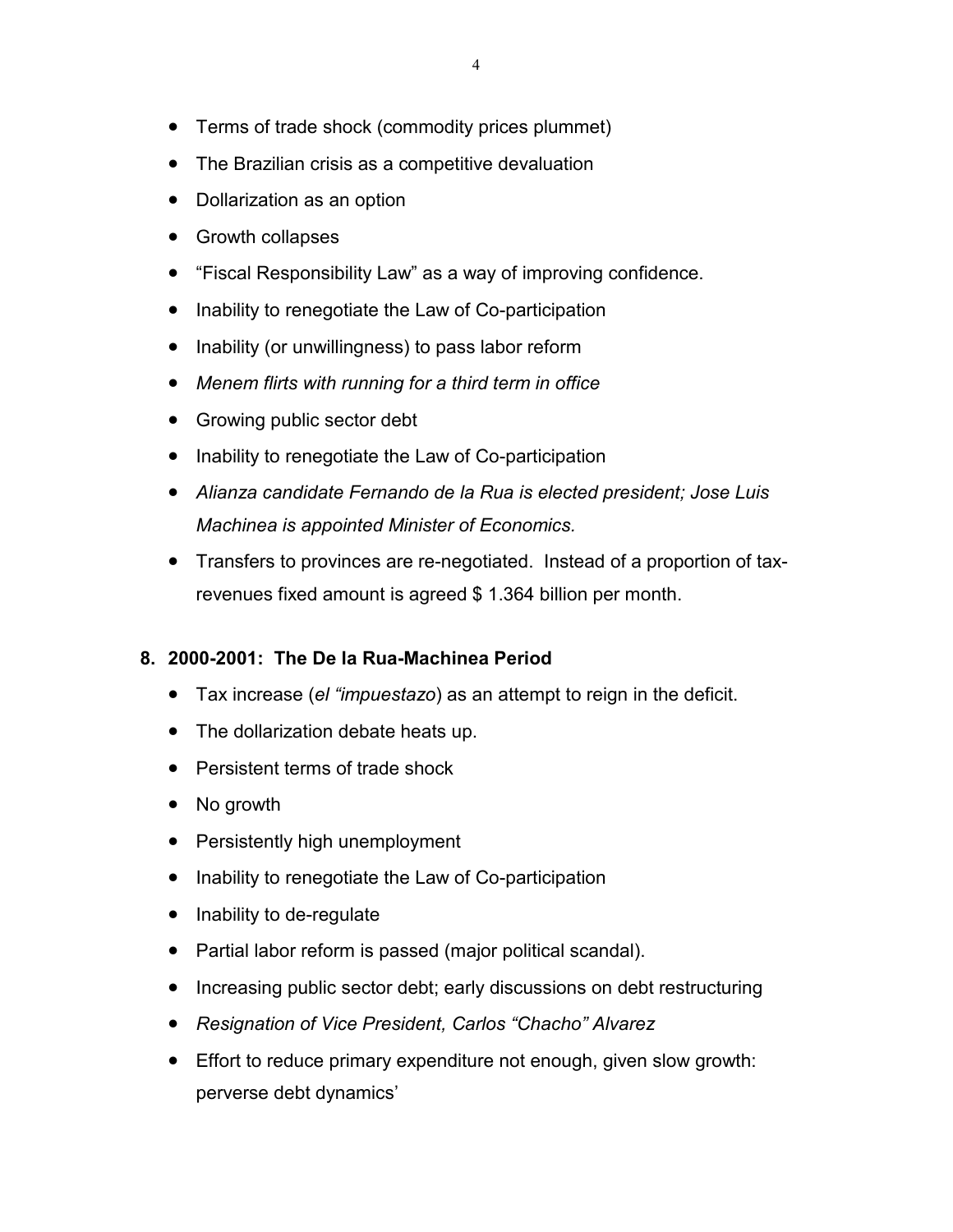- Terms of trade shock (commodity prices plummet)
- The Brazilian crisis as a competitive devaluation
- Dollarization as an option
- Growth collapses
- "Fiscal Responsibility Law" as a way of improving confidence.
- Inability to renegotiate the Law of Co-participation
- Inability (or unwillingness) to pass labor reform
- *Menem flirts with running for a third term in office*
- Growing public sector debt
- Inability to renegotiate the Law of Co-participation
- *Alianza candidate Fernando de la Rua is elected president; Jose Luis Machinea is appointed Minister of Economics.*
- Transfers to provinces are re-negotiated. Instead of a proportion of taxrevenues fixed amount is agreed \$ 1.364 billion per month.

## **8. 2000-2001: The De la Rua-Machinea Period**

- Tax increase (*el "impuestazo*) as an attempt to reign in the deficit.
- The dollarization debate heats up.
- Persistent terms of trade shock
- No growth
- Persistently high unemployment
- Inability to renegotiate the Law of Co-participation
- Inability to de-regulate
- Partial labor reform is passed (major political scandal).
- Increasing public sector debt; early discussions on debt restructuring
- *Resignation of Vice President, Carlos "Chacho" Alvarez*
- Effort to reduce primary expenditure not enough, given slow growth: perverse debt dynamics'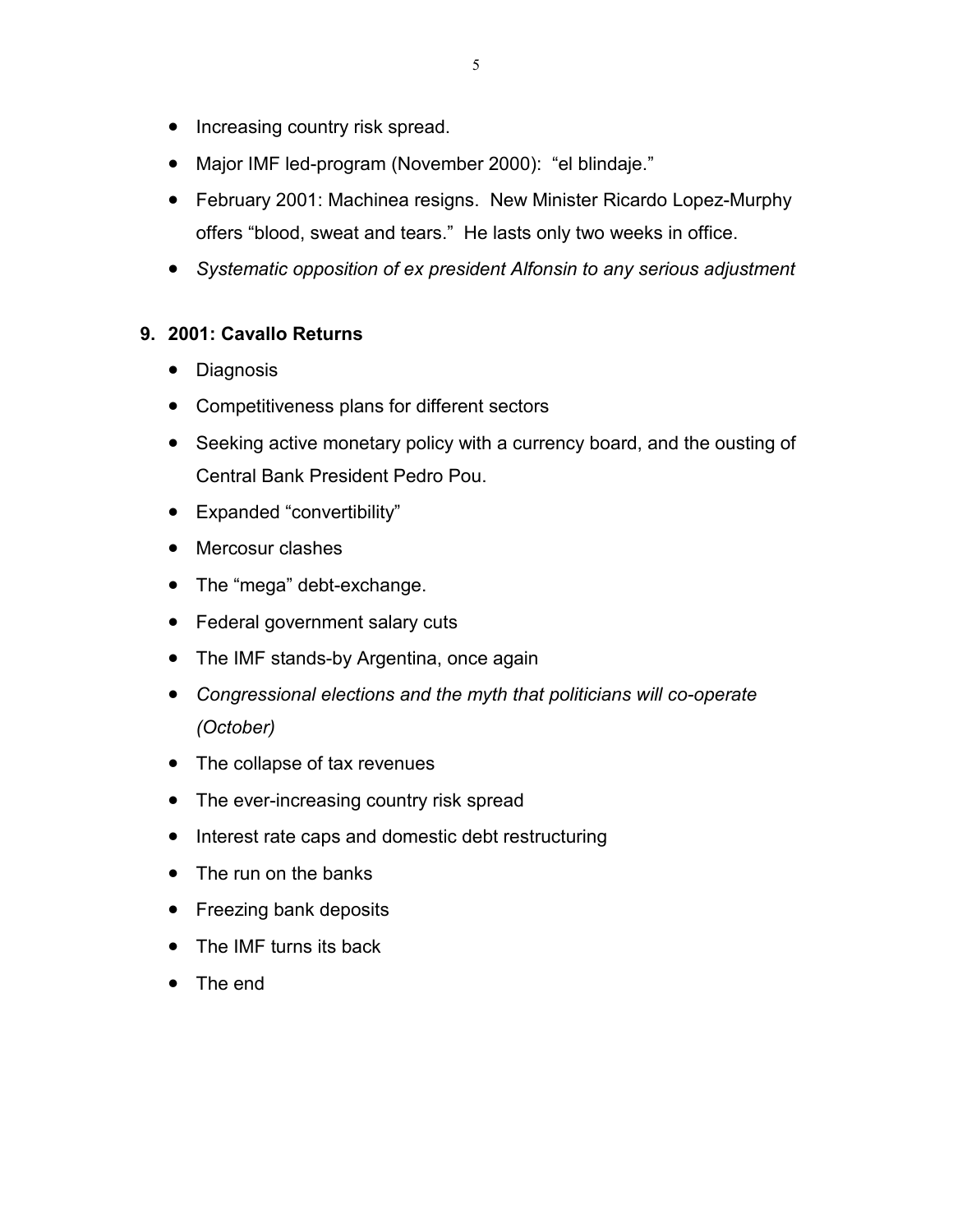- Increasing country risk spread.
- Major IMF led-program (November 2000): "el blindaje."
- February 2001: Machinea resigns. New Minister Ricardo Lopez-Murphy offers "blood, sweat and tears." He lasts only two weeks in office.
- *Systematic opposition of ex president Alfonsin to any serious adjustment*

# **9. 2001: Cavallo Returns**

- Diagnosis
- Competitiveness plans for different sectors
- Seeking active monetary policy with a currency board, and the ousting of Central Bank President Pedro Pou.
- Expanded "convertibility"
- Mercosur clashes
- The "mega" debt-exchange.
- Federal government salary cuts
- The IMF stands-by Argentina, once again
- *Congressional elections and the myth that politicians will co-operate (October)*
- The collapse of tax revenues
- The ever-increasing country risk spread
- Interest rate caps and domestic debt restructuring
- The run on the banks
- Freezing bank deposits
- The IMF turns its back
- The end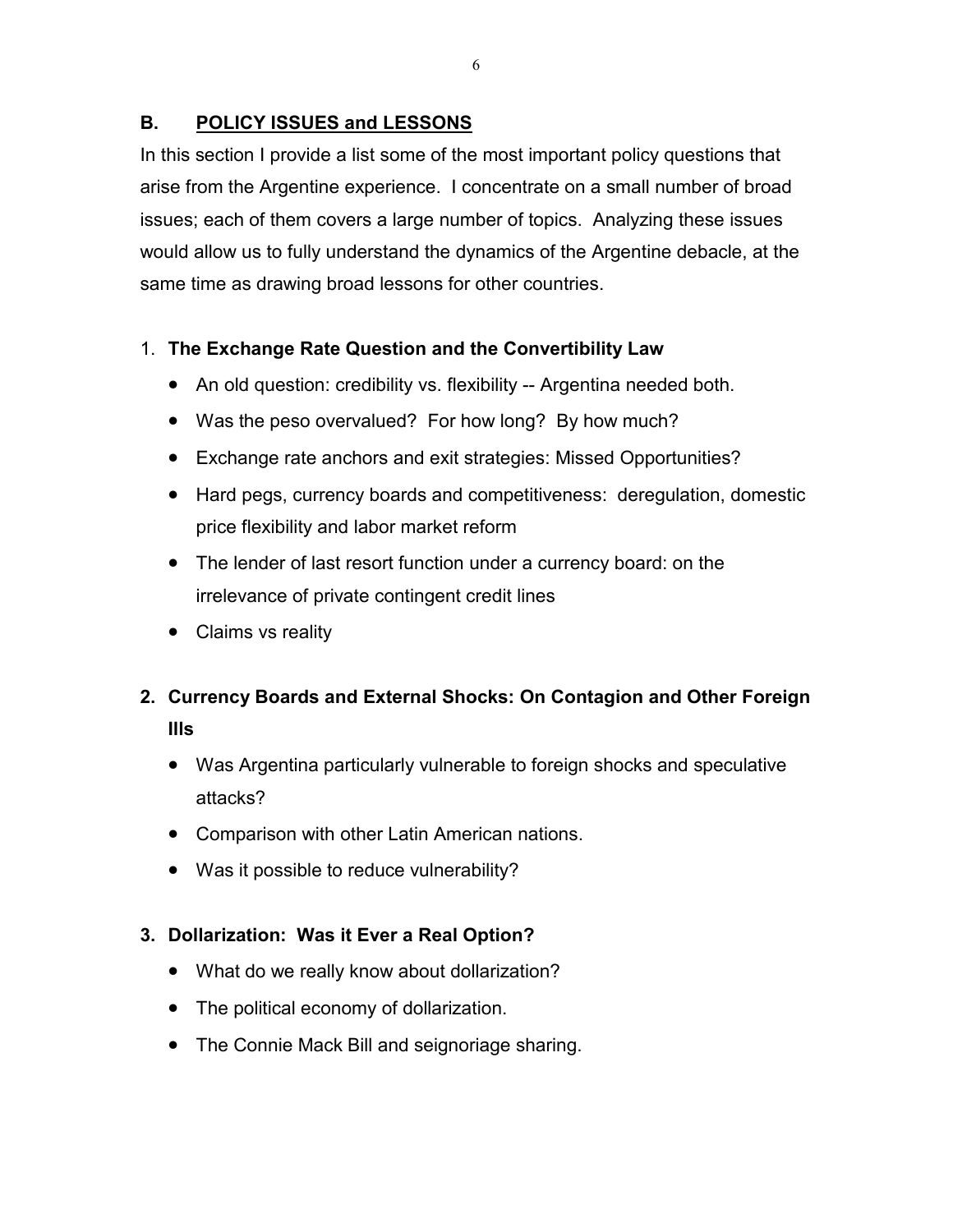# **B. POLICY ISSUES and LESSONS**

In this section I provide a list some of the most important policy questions that arise from the Argentine experience. I concentrate on a small number of broad issues; each of them covers a large number of topics. Analyzing these issues would allow us to fully understand the dynamics of the Argentine debacle, at the same time as drawing broad lessons for other countries.

# 1. **The Exchange Rate Question and the Convertibility Law**

- An old question: credibility vs. flexibility -- Argentina needed both.
- Was the peso overvalued? For how long? By how much?
- Exchange rate anchors and exit strategies: Missed Opportunities?
- Hard pegs, currency boards and competitiveness: deregulation, domestic price flexibility and labor market reform
- The lender of last resort function under a currency board: on the irrelevance of private contingent credit lines
- Claims vs reality

# **2. Currency Boards and External Shocks: On Contagion and Other Foreign Ills**

- Was Argentina particularly vulnerable to foreign shocks and speculative attacks?
- Comparison with other Latin American nations.
- Was it possible to reduce vulnerability?

# **3. Dollarization: Was it Ever a Real Option?**

- What do we really know about dollarization?
- The political economy of dollarization.
- The Connie Mack Bill and seignoriage sharing.